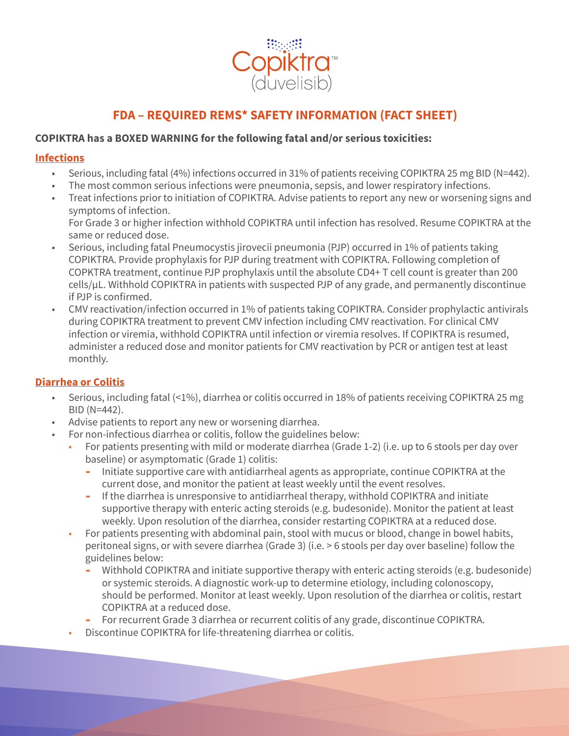

# **FDA – REQUIRED REMS\* SAFETY INFORMATION (FACT SHEET)**

# COPIKTRA has a BOXED WARNING for the following fatal and/or serious toxicities:

#### **Infections**

- **•** Serious, including fatal (4%) infections occurred in 31% of patients receiving COPIKTRA 25 mg BID (N=442).
- The most common serious infections were pneumonia, sepsis, and lower respiratory infections.
- Treat infections prior to initiation of COPIKTRA. Advise patients to report any new or worsening signs and symptoms of infection. For Grade 3 or higher infection withhold COPIKTRA until infection has resolved. Resume COPIKTRA at the same or reduced dose.
- Serious, including fatal Pneumocystis jirovecii pneumonia (PJP) occurred in 1% of patients taking COPIKTRA. Provide prophylaxis for PJP during treatment with COPIKTRA. Following completion of COPKTRA treatment, continue PJP prophylaxis until the absolute CD4+ T cell count is greater than 200 cells/µL. Withhold COPIKTRA in patients with suspected PJP of any grade, and permanently discontinue if PJP is confirmed.
- CMV reactivation/infection occurred in 1% of patients taking COPIKTRA. Consider prophylactic antivirals during COPIKTRA treatment to prevent CMV infection including CMV reactivation. For clinical CMV infection or viremia, withhold COPIKTRA until infection or viremia resolves. If COPIKTRA is resumed, administer a reduced dose and monitor patients for CMV reactivation by PCR or antigen test at least monthly.

#### **Diarrhea or Colitis**

- Serious, including fatal (<1%), diarrhea or colitis occurred in 18% of patients receiving COPIKTRA 25 mg BID (N=442).
- Advise patients to report any new or worsening diarrhea.
- For non-infectious diarrhea or colitis, follow the guidelines below:
	- For patients presenting with mild or moderate diarrhea (Grade 1-2) (i.e. up to 6 stools per day over baseline) or asymptomatic (Grade 1) colitis:
		- **-** Initiate supportive care with antidiarrheal agents as appropriate, continue COPIKTRA at the current dose, and monitor the patient at least weekly until the event resolves.
		- **-** If the diarrhea is unresponsive to antidiarrheal therapy, withhold COPIKTRA and initiate supportive therapy with enteric acting steroids (e.g. budesonide). Monitor the patient at least weekly. Upon resolution of the diarrhea, consider restarting COPIKTRA at a reduced dose.
	- For patients presenting with abdominal pain, stool with mucus or blood, change in bowel habits, peritoneal signs, or with severe diarrhea (Grade 3) (i.e. > 6 stools per day over baseline) follow the guidelines below:
		- **-** Withhold COPIKTRA and initiate supportive therapy with enteric acting steroids (e.g. budesonide) or systemic steroids. A diagnostic work-up to determine etiology, including colonoscopy, should be performed. Monitor at least weekly. Upon resolution of the diarrhea or colitis, restart COPIKTRA at a reduced dose.
		- **-** For recurrent Grade 3 diarrhea or recurrent colitis of any grade, discontinue COPIKTRA.
	- Discontinue COPIKTRA for life-threatening diarrhea or colitis.